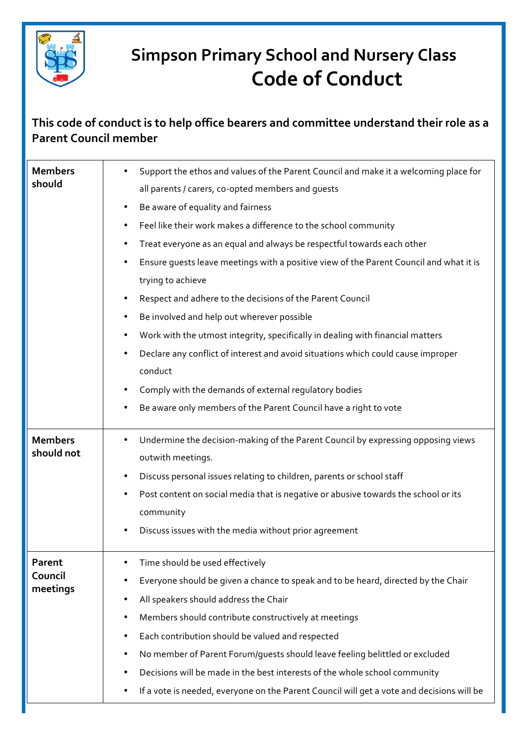

## **Simpson Primary School and Nursery Class Code of Conduct**

## This code of conduct is to help office bearers and committee understand their role as a **Parent Council member**

| <b>Members</b><br>should      | Support the ethos and values of the Parent Council and make it a welcoming place for<br>all parents / carers, co-opted members and guests<br>Be aware of equality and fairness<br>$\bullet$<br>Feel like their work makes a difference to the school community<br>٠<br>Treat everyone as an equal and always be respectful towards each other<br>٠<br>Ensure quests leave meetings with a positive view of the Parent Council and what it is<br>trying to achieve<br>Respect and adhere to the decisions of the Parent Council<br>Be involved and help out wherever possible<br>$\bullet$<br>Work with the utmost integrity, specifically in dealing with financial matters<br>$\bullet$<br>Declare any conflict of interest and avoid situations which could cause improper<br>conduct<br>Comply with the demands of external regulatory bodies |
|-------------------------------|--------------------------------------------------------------------------------------------------------------------------------------------------------------------------------------------------------------------------------------------------------------------------------------------------------------------------------------------------------------------------------------------------------------------------------------------------------------------------------------------------------------------------------------------------------------------------------------------------------------------------------------------------------------------------------------------------------------------------------------------------------------------------------------------------------------------------------------------------|
|                               | Be aware only members of the Parent Council have a right to vote                                                                                                                                                                                                                                                                                                                                                                                                                                                                                                                                                                                                                                                                                                                                                                                 |
| <b>Members</b><br>should not  | Undermine the decision-making of the Parent Council by expressing opposing views<br>outwith meetings.<br>Discuss personal issues relating to children, parents or school staff<br>٠<br>Post content on social media that is negative or abusive towards the school or its<br>٠<br>community<br>Discuss issues with the media without prior agreement                                                                                                                                                                                                                                                                                                                                                                                                                                                                                             |
| Parent<br>Council<br>meetings | Time should be used effectively<br>Everyone should be given a chance to speak and to be heard, directed by the Chair<br>All speakers should address the Chair<br>٠<br>Members should contribute constructively at meetings<br>٠<br>Each contribution should be valued and respected<br>٠<br>No member of Parent Forum/guests should leave feeling belittled or excluded<br>Decisions will be made in the best interests of the whole school community<br>If a vote is needed, everyone on the Parent Council will get a vote and decisions will be                                                                                                                                                                                                                                                                                               |